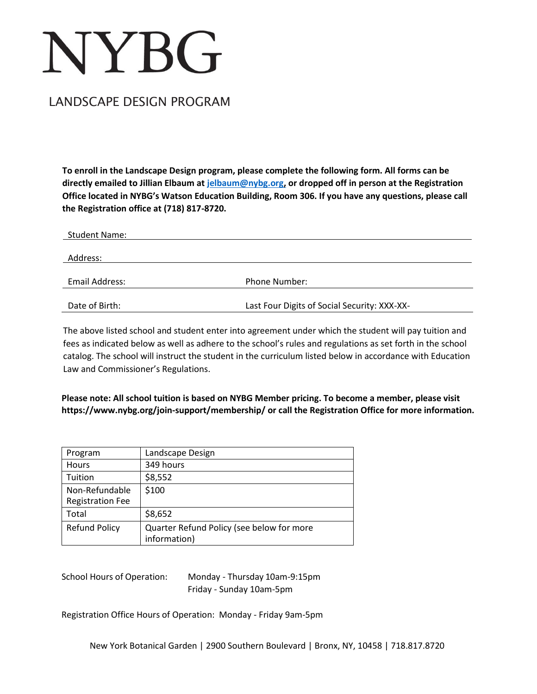# **NYBG**

# LANDSCAPE DESIGN PROGRAM

**To enroll in the Landscape Design program, please complete the following form. All forms can be directly emailed to Jillian Elbaum at [jelbaum@nybg.org,](mailto:jelbaum@nybg.org) or dropped off in person at the Registration Office located in NYBG's Watson Education Building, Room 306. If you have any questions, please call the Registration office at (718) 817-8720.**

| <b>Student Name:</b> |                                              |
|----------------------|----------------------------------------------|
|                      |                                              |
| Address:             |                                              |
|                      |                                              |
| Email Address:       | Phone Number:                                |
|                      |                                              |
| Date of Birth:       | Last Four Digits of Social Security: XXX-XX- |

The above listed school and student enter into agreement under which the student will pay tuition and fees as indicated below as well as adhere to the school's rules and regulations as set forth in the school catalog. The school will instruct the student in the curriculum listed below in accordance with Education Law and Commissioner's Regulations.

**Please note: All school tuition is based on NYBG Member pricing. To become a member, please visit [https://www.nybg.org/join-support/membership/ o](http://www.nybg.org/join-support/membership/)r call the Registration Office for more information.**

| Program                 | Landscape Design                                          |
|-------------------------|-----------------------------------------------------------|
| <b>Hours</b>            | 349 hours                                                 |
| Tuition                 | \$8,552                                                   |
| Non-Refundable          | \$100                                                     |
| <b>Registration Fee</b> |                                                           |
| Total                   | \$8,652                                                   |
| <b>Refund Policy</b>    | Quarter Refund Policy (see below for more<br>information) |

School Hours of Operation: Monday - Thursday 10am-9:15pm Friday - Sunday 10am-5pm

Registration Office Hours of Operation: Monday - Friday 9am-5pm

New York Botanical Garden | 2900 Southern Boulevard | Bronx, NY, 10458 | 718.817.8720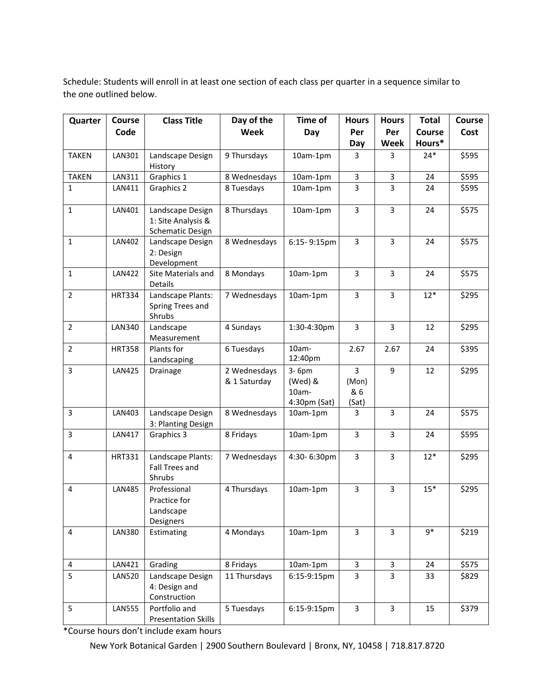Schedule: Students will enroll in at least one section of each class per quarter in a sequence similar to the one outlined below.

| Quarter                 | Course        | <b>Class Title</b>                                         | Day of the                   | Time of                                   | <b>Hours</b>                            | <b>Hours</b>            | <b>Total</b> | Course |
|-------------------------|---------------|------------------------------------------------------------|------------------------------|-------------------------------------------|-----------------------------------------|-------------------------|--------------|--------|
|                         | Code          |                                                            | Week                         | Day                                       | Per                                     | Per                     | Course       | Cost   |
|                         |               |                                                            |                              |                                           | Day                                     | Week                    | Hours*       |        |
| <b>TAKEN</b>            | LAN301        | Landscape Design                                           | 9 Thursdays                  | 10am-1pm                                  | 3                                       | 3                       | $24*$        | \$595  |
|                         |               | History                                                    |                              |                                           |                                         |                         |              |        |
| <b>TAKEN</b>            | LAN311        | Graphics 1                                                 | 8 Wednesdays                 | 10am-1pm                                  | 3                                       | 3                       | 24           | \$595  |
| $\mathbf{1}$            | LAN411        | Graphics 2                                                 | 8 Tuesdays                   | 10am-1pm                                  | 3                                       | 3                       | 24           | \$595  |
| $\mathbf{1}$            | LAN401        | Landscape Design<br>1: Site Analysis &<br>Schematic Design | 8 Thursdays                  | 10am-1pm                                  | 3                                       | 3                       | 24           | \$575  |
| $\mathbf{1}$            | LAN402        | Landscape Design<br>2: Design<br>Development               | 8 Wednesdays                 | 6:15-9:15pm                               | $\overline{3}$                          | $\overline{3}$          | 24           | \$575  |
| $\mathbf{1}$            | <b>LAN422</b> | Site Materials and<br>Details                              | 8 Mondays                    | 10am-1pm                                  | 3                                       | 3                       | 24           | \$575  |
| $\overline{2}$          | <b>HRT334</b> | Landscape Plants:<br>Spring Trees and<br>Shrubs            | 7 Wednesdays                 | 10am-1pm                                  | $\overline{3}$                          | $\overline{3}$          | $12*$        | \$295  |
| $\overline{2}$          | <b>LAN340</b> | Landscape<br>Measurement                                   | 4 Sundays                    | 1:30-4:30pm                               | 3                                       | $\overline{3}$          | 12           | \$295  |
| $\overline{2}$          | <b>HRT358</b> | Plants for<br>Landscaping                                  | 6 Tuesdays                   | 10am-<br>12:40pm                          | 2.67                                    | 2.67                    | 24           | \$395  |
| $\overline{3}$          | <b>LAN425</b> | Drainage                                                   | 2 Wednesdays<br>& 1 Saturday | 3-6pm<br>(Wed) &<br>10am-<br>4:30pm (Sat) | $\overline{3}$<br>(Mon)<br>& 6<br>(Sat) | 9                       | 12           | \$295  |
| 3                       | LAN403        | Landscape Design<br>3: Planting Design                     | 8 Wednesdays                 | 10am-1pm                                  | 3                                       | 3                       | 24           | \$575  |
| 3                       | LAN417        | Graphics 3                                                 | 8 Fridays                    | 10am-1pm                                  | 3                                       | 3                       | 24           | \$595  |
| 4                       | <b>HRT331</b> | Landscape Plants:<br>Fall Trees and<br>Shrubs              | 7 Wednesdays                 | 4:30-6:30pm                               | $\overline{3}$                          | 3                       | $12*$        | \$295  |
| $\overline{4}$          | <b>LAN485</b> | Professional<br>Practice for<br>Landscape<br>Designers     | 4 Thursdays                  | 10am-1pm                                  | 3                                       | 3                       | $15*$        | \$295  |
| $\overline{\mathbf{4}}$ | <b>LAN380</b> | Estimating                                                 | 4 Mondays                    | 10am-1pm                                  | $\overline{3}$                          | 3                       | $9*$         | \$219  |
| 4                       | LAN421        | Grading                                                    | 8 Fridays                    | 10am-1pm                                  | 3                                       | 3                       | 24           | \$575  |
| 5                       | <b>LAN520</b> | Landscape Design<br>4: Design and<br>Construction          | 11 Thursdays                 | 6:15-9:15pm                               | 3                                       | 3                       | 33           | \$829  |
| 5                       | <b>LAN555</b> | Portfolio and<br><b>Presentation Skills</b>                | 5 Tuesdays                   | 6:15-9:15pm                               | $\overline{3}$                          | $\overline{\mathbf{3}}$ | 15           | \$379  |

\*Course hours don't include exam hours

New York Botanical Garden | 2900 Southern Boulevard | Bronx, NY, 10458 | 718.817.8720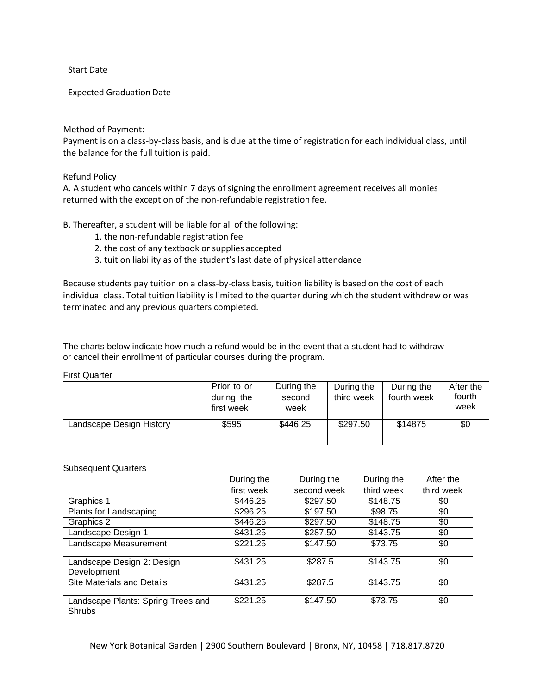Start Date

#### Expected Graduation Date

### Method of Payment:

Payment is on a class-by-class basis, and is due at the time of registration for each individual class, until the balance for the full tuition is paid.

# Refund Policy

A. A student who cancels within 7 days of signing the enrollment agreement receives all monies returned with the exception of the non-refundable registration fee.

# B. Thereafter, a student will be liable for all of the following:

- 1. the non-refundable registration fee
- 2. the cost of any textbook or supplies accepted
- 3. tuition liability as of the student's last date of physical attendance

Because students pay tuition on a class-by-class basis, tuition liability is based on the cost of each individual class. Total tuition liability is limited to the quarter during which the student withdrew or was terminated and any previous quarters completed.

The charts below indicate how much a refund would be in the event that a student had to withdraw or cancel their enrollment of particular courses during the program.

#### First Quarter

|                          | Prior to or | During the | During the | During the  | After the |
|--------------------------|-------------|------------|------------|-------------|-----------|
|                          | during the  | second     | third week | fourth week | fourth    |
|                          | first week  | week       |            |             | week      |
| Landscape Design History | \$595       | \$446.25   | \$297.50   | \$14875     | \$0       |
|                          |             |            |            |             |           |

#### Subsequent Quarters

|                                              | During the | During the  | During the | After the  |
|----------------------------------------------|------------|-------------|------------|------------|
|                                              | first week | second week | third week | third week |
| Graphics 1                                   | \$446.25   | \$297.50    | \$148.75   | \$0        |
| Plants for Landscaping                       | \$296.25   | \$197.50    | \$98.75    | \$0        |
| Graphics 2                                   | \$446.25   | \$297.50    | \$148.75   | \$0        |
| Landscape Design 1                           | \$431.25   | \$287.50    | \$143.75   | \$0        |
| Landscape Measurement                        | \$221.25   | \$147.50    | \$73.75    | \$0        |
| Landscape Design 2: Design<br>Development    | \$431.25   | \$287.5     | \$143.75   | \$0        |
| <b>Site Materials and Details</b>            | \$431.25   | \$287.5     | \$143.75   | \$0        |
| Landscape Plants: Spring Trees and<br>Shrubs | \$221.25   | \$147.50    | \$73.75    | \$0        |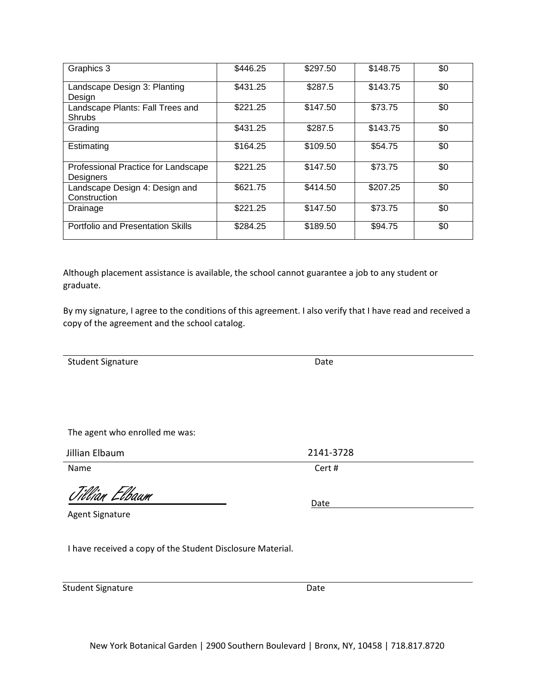| Graphics 3                                                  | \$446.25 | \$297.50 | \$148.75 | \$0 |
|-------------------------------------------------------------|----------|----------|----------|-----|
| Landscape Design 3: Planting                                | \$431.25 | \$287.5  | \$143.75 | \$0 |
| Design<br>Landscape Plants: Fall Trees and<br><b>Shrubs</b> | \$221.25 | \$147.50 | \$73.75  | \$0 |
| Grading                                                     | \$431.25 | \$287.5  | \$143.75 | \$0 |
| Estimating                                                  | \$164.25 | \$109.50 | \$54.75  | \$0 |
| Professional Practice for Landscape<br>Designers            | \$221.25 | \$147.50 | \$73.75  | \$0 |
| Landscape Design 4: Design and<br>Construction              | \$621.75 | \$414.50 | \$207.25 | \$0 |
| Drainage                                                    | \$221.25 | \$147.50 | \$73.75  | \$0 |
| Portfolio and Presentation Skills                           | \$284.25 | \$189.50 | \$94.75  | \$0 |

Although placement assistance is available, the school cannot guarantee a job to any student or graduate.

By my signature, I agree to the conditions of this agreement. I also verify that I have read and received a copy of the agreement and the school catalog.

Student Signature

The agent who enrolled me was:

Jillian Elbaum

Jillian Elbaum Date

Agent Signature

I have received a copy of the Student Disclosure Material.

Student Signature Date

New York Botanical Garden | 2900 Southern Boulevard | Bronx, NY, 10458 | 718.817.8720

Date

Name Cert #

2141-3728